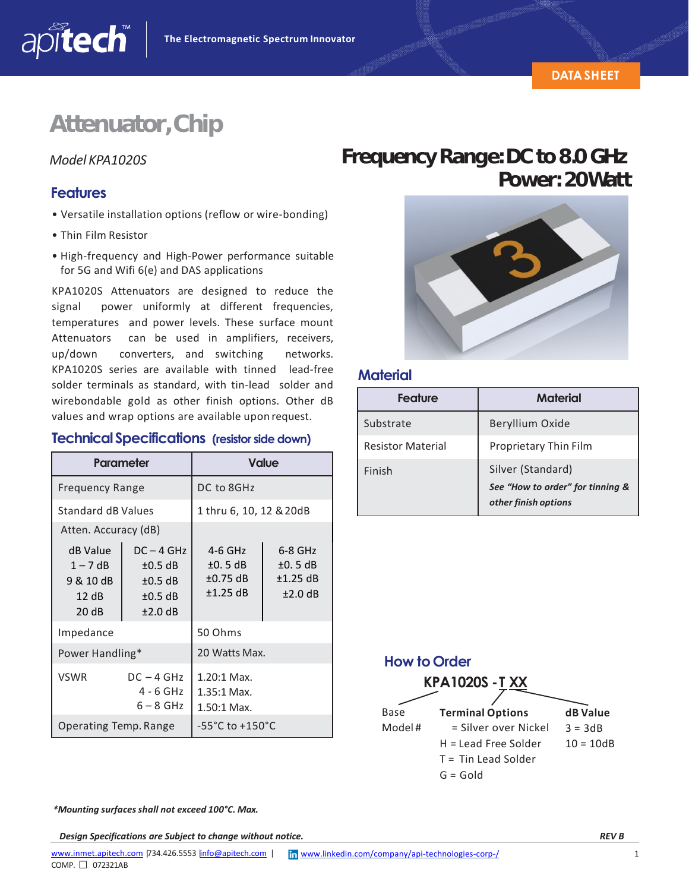# **Attenuator,Chip**

### **Features**

apitech

- Versatile installation options (reflow or wire‐bonding)
- Thin Film Resistor
- High‐frequency and High‐Power performance suitable for 5G and Wifi 6(e) and DAS applications

KPA1020S Attenuators are designed to reduce the signal power uniformly at different frequencies, temperatures and power levels. These surface mount Attenuators can be used in amplifiers, receivers, up/down converters, and switching networks. KPA1020S series are available with tinned lead‐free solder terminals as standard, with tin‐lead solder and wirebondable gold as other finish options. Other dB values and wrap options are available upon request.

#### **TechnicalSpecifications (resistor side down)**

| Parameter                                             |                                                                   | <b>Value</b>                                 |                                        |
|-------------------------------------------------------|-------------------------------------------------------------------|----------------------------------------------|----------------------------------------|
| <b>Frequency Range</b>                                |                                                                   | DC to 8GHz                                   |                                        |
| Standard dB Values                                    |                                                                   | 1 thru 6, 10, 12 & 20dB                      |                                        |
| Atten. Accuracy (dB)                                  |                                                                   |                                              |                                        |
| dB Value<br>$1 - 7$ dB<br>9 & 10 dB<br>12 dB<br>20 dB | $DC - 4 GHz$<br>$±0.5$ dB<br>$\pm 0.5$ dB<br>$±0.5$ dB<br>±2.0 dB | $4-6$ GHz<br>±0.5dB<br>$±0.75$ dB<br>±1.25dB | 6-8 GHz<br>±0.5dB<br>±1.25dB<br>±2.0dB |
| Impedance                                             |                                                                   | 50 Ohms                                      |                                        |
| Power Handling*                                       |                                                                   | 20 Watts Max.                                |                                        |
| <b>VSWR</b>                                           | $DC - 4 GHz$<br>4 - 6 GHz<br>$6 - 8$ GHz                          | 1.20:1 Max.<br>$1.35:1$ Max.<br>1.50:1 Max.  |                                        |
| Operating Temp. Range                                 |                                                                   | $-55^{\circ}$ C to $+150^{\circ}$ C          |                                        |

### *Model KPA1020S* **FrequencyRange:DCto8.0GHz Power: 20Watt**



### **Material**

| Feature                  | <b>Material</b>                                                               |  |
|--------------------------|-------------------------------------------------------------------------------|--|
| Substrate                | Beryllium Oxide                                                               |  |
| <b>Resistor Material</b> | Proprietary Thin Film                                                         |  |
| Finish                   | Silver (Standard)<br>See "How to order" for tinning &<br>other finish options |  |



*\*Mounting surfaces shall not exceed 100°C. Max.*

*Design Specifications are Subject to change without notice. REV B*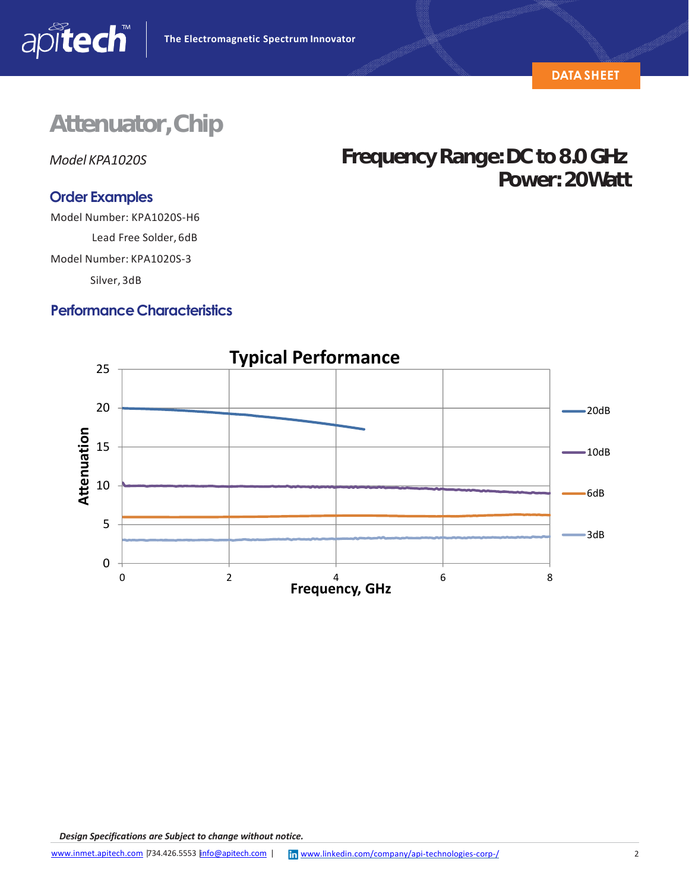

# **Attenuator,Chip**

*Model KPA1020S*

apitech

### **Order Examples**

Model Number: KPA1020S‐H6

Lead Free Solder, 6dB Model Number: KPA1020S‐3

Silver, 3dB

### **Performance Characteristics**

## Frequency Range: DC to 8.0 GHz **Power: 20Watt**



*Design Specifications are Subject to change without notice.*